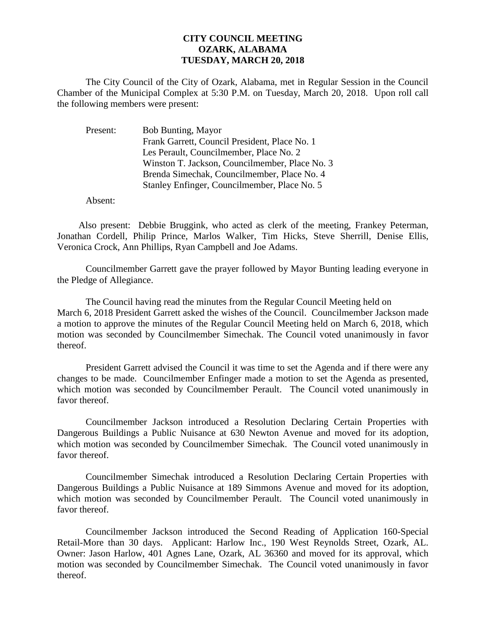## **CITY COUNCIL MEETING OZARK, ALABAMA TUESDAY, MARCH 20, 2018**

The City Council of the City of Ozark, Alabama, met in Regular Session in the Council Chamber of the Municipal Complex at 5:30 P.M. on Tuesday, March 20, 2018. Upon roll call the following members were present:

| Present: | <b>Bob Bunting, Mayor</b>                      |
|----------|------------------------------------------------|
|          | Frank Garrett, Council President, Place No. 1  |
|          | Les Perault, Councilmember, Place No. 2        |
|          | Winston T. Jackson, Councilmember, Place No. 3 |
|          | Brenda Simechak, Councilmember, Place No. 4    |
|          | Stanley Enfinger, Councilmember, Place No. 5   |
|          |                                                |

Absent:

Also present: Debbie Bruggink, who acted as clerk of the meeting, Frankey Peterman, Jonathan Cordell, Philip Prince, Marlos Walker, Tim Hicks, Steve Sherrill, Denise Ellis, Veronica Crock, Ann Phillips, Ryan Campbell and Joe Adams.

Councilmember Garrett gave the prayer followed by Mayor Bunting leading everyone in the Pledge of Allegiance.

The Council having read the minutes from the Regular Council Meeting held on March 6, 2018 President Garrett asked the wishes of the Council. Councilmember Jackson made a motion to approve the minutes of the Regular Council Meeting held on March 6, 2018, which motion was seconded by Councilmember Simechak. The Council voted unanimously in favor thereof.

President Garrett advised the Council it was time to set the Agenda and if there were any changes to be made. Councilmember Enfinger made a motion to set the Agenda as presented, which motion was seconded by Councilmember Perault. The Council voted unanimously in favor thereof.

Councilmember Jackson introduced a Resolution Declaring Certain Properties with Dangerous Buildings a Public Nuisance at 630 Newton Avenue and moved for its adoption, which motion was seconded by Councilmember Simechak. The Council voted unanimously in favor thereof.

Councilmember Simechak introduced a Resolution Declaring Certain Properties with Dangerous Buildings a Public Nuisance at 189 Simmons Avenue and moved for its adoption, which motion was seconded by Councilmember Perault. The Council voted unanimously in favor thereof.

Councilmember Jackson introduced the Second Reading of Application 160-Special Retail-More than 30 days. Applicant: Harlow Inc., 190 West Reynolds Street, Ozark, AL. Owner: Jason Harlow, 401 Agnes Lane, Ozark, AL 36360 and moved for its approval, which motion was seconded by Councilmember Simechak. The Council voted unanimously in favor thereof.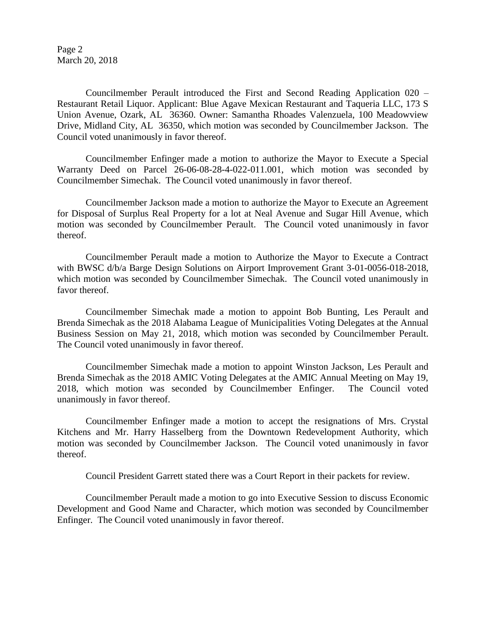Page 2 March 20, 2018

Councilmember Perault introduced the First and Second Reading Application 020 – Restaurant Retail Liquor. Applicant: Blue Agave Mexican Restaurant and Taqueria LLC, 173 S Union Avenue, Ozark, AL 36360. Owner: Samantha Rhoades Valenzuela, 100 Meadowview Drive, Midland City, AL 36350, which motion was seconded by Councilmember Jackson. The Council voted unanimously in favor thereof.

Councilmember Enfinger made a motion to authorize the Mayor to Execute a Special Warranty Deed on Parcel 26-06-08-28-4-022-011.001, which motion was seconded by Councilmember Simechak. The Council voted unanimously in favor thereof.

Councilmember Jackson made a motion to authorize the Mayor to Execute an Agreement for Disposal of Surplus Real Property for a lot at Neal Avenue and Sugar Hill Avenue, which motion was seconded by Councilmember Perault. The Council voted unanimously in favor thereof.

Councilmember Perault made a motion to Authorize the Mayor to Execute a Contract with BWSC d/b/a Barge Design Solutions on Airport Improvement Grant 3-01-0056-018-2018, which motion was seconded by Councilmember Simechak. The Council voted unanimously in favor thereof.

Councilmember Simechak made a motion to appoint Bob Bunting, Les Perault and Brenda Simechak as the 2018 Alabama League of Municipalities Voting Delegates at the Annual Business Session on May 21, 2018, which motion was seconded by Councilmember Perault. The Council voted unanimously in favor thereof.

Councilmember Simechak made a motion to appoint Winston Jackson, Les Perault and Brenda Simechak as the 2018 AMIC Voting Delegates at the AMIC Annual Meeting on May 19, 2018, which motion was seconded by Councilmember Enfinger. The Council voted unanimously in favor thereof.

Councilmember Enfinger made a motion to accept the resignations of Mrs. Crystal Kitchens and Mr. Harry Hasselberg from the Downtown Redevelopment Authority, which motion was seconded by Councilmember Jackson. The Council voted unanimously in favor thereof.

Council President Garrett stated there was a Court Report in their packets for review.

Councilmember Perault made a motion to go into Executive Session to discuss Economic Development and Good Name and Character, which motion was seconded by Councilmember Enfinger. The Council voted unanimously in favor thereof.